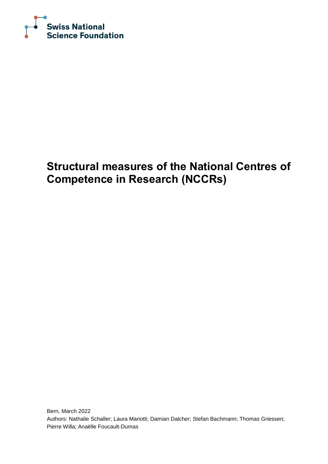

## **Structural measures of the National Centres of Competence in Research (NCCRs)**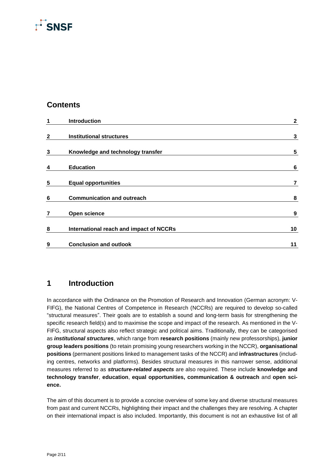## $\overline{\Gamma}$ SNSF

#### **Contents**

| 1            | Introduction                            | $\mathbf{2}$    |
|--------------|-----------------------------------------|-----------------|
| $\mathbf{2}$ | <b>Institutional structures</b>         | 3               |
| 3            | Knowledge and technology transfer       | 5               |
| 4            | <b>Education</b>                        | $6\phantom{1}6$ |
| 5            | <b>Equal opportunities</b>              | 7               |
| 6            | <b>Communication and outreach</b>       | 8               |
| 7            | Open science                            | 9               |
| 8            | International reach and impact of NCCRs | 10              |
| 9            | <b>Conclusion and outlook</b>           | 11              |

### <span id="page-1-0"></span>**1 Introduction**

In accordance with the Ordinance on the Promotion of Research and Innovation (German acronym: V-FIFG), the National Centres of Competence in Research (NCCRs) are required to develop so-called "structural measures". Their goals are to establish a sound and long-term basis for strengthening the specific research field(s) and to maximise the scope and impact of the research. As mentioned in the V-FIFG, structural aspects also reflect strategic and political aims. Traditionally, they can be categorised as *institutional structures*, which range from **research positions** (mainly new professorships), **junior group leaders positions** (to retain promising young researchers working in the NCCR), **organisational positions** (permanent positions linked to management tasks of the NCCR) and **infrastructures** (including centres, networks and platforms). Besides structural measures in this narrower sense, additional measures referred to as *structure-related aspects* are also required. These include **knowledge and technology transfer**, **education**, **equal opportunities, communication & outreach** and **open science.**

The aim of this document is to provide a concise overview of some key and diverse structural measures from past and current NCCRs, highlighting their impact and the challenges they are resolving. A chapter on their international impact is also included. Importantly, this document is not an exhaustive list of all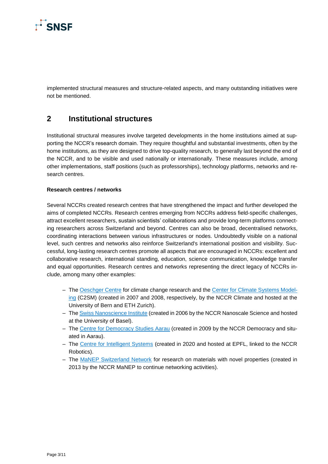

implemented structural measures and structure-related aspects, and many outstanding initiatives were not be mentioned.

#### <span id="page-2-0"></span>**2 Institutional structures**

Institutional structural measures involve targeted developments in the home institutions aimed at supporting the NCCR's research domain. They require thoughtful and substantial investments, often by the home institutions, as they are designed to drive top-quality research, to generally last beyond the end of the NCCR, and to be visible and used nationally or internationally. These measures include, among other implementations, staff positions (such as professorships), technology platforms, networks and research centres.

#### **Research centres / networks**

Several NCCRs created research centres that have strengthened the impact and further developed the aims of completed NCCRs. Research centres emerging from NCCRs address field-specific challenges, attract excellent researchers, sustain scientists' collaborations and provide long-term platforms connecting researchers across Switzerland and beyond. Centres can also be broad, decentralised networks, coordinating interactions between various infrastructures or nodes. Undoubtedly visible on a national level, such centres and networks also reinforce Switzerland's international position and visibility. Successful, long-lasting research centres promote all aspects that are encouraged in NCCRs: excellent and collaborative research, international standing, education, science communication, knowledge transfer and equal opportunities. Research centres and networks representing the direct legacy of NCCRs include, among many other examples:

- Th[e Oeschger Centre](https://www.oeschger.unibe.ch/index_eng.html) for climate change research and the [Center for Climate Systems Model](https://c2sm.ethz.ch/)[ing](https://c2sm.ethz.ch/) (C2SM) (created in 2007 and 2008, respectively, by the NCCR Climate and hosted at the University of Bern and ETH Zurich).
- Th[e Swiss Nanoscience Institute](https://nanoscience.ch/en/) (created in 2006 by the NCCR Nanoscale Science and hosted at the University of Basel).
- The [Centre for Democracy Studies Aarau](https://www.zdaarau.ch/) (created in 2009 by the NCCR Democracy and situated in Aarau).
- The [Centre for Intelligent Systems](https://www.epfl.ch/research/domains/cis/fr/center-for-intelligent-systems/) (created in 2020 and hosted at EPFL, linked to the NCCR Robotics).
- The [MaNEP Switzerland Network](https://www.manep.ch/) for research on materials with novel properties (created in 2013 by the NCCR MaNEP to continue networking activities).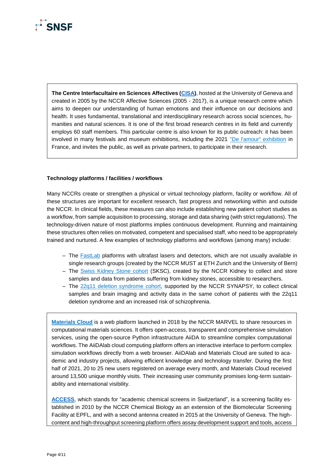# SNSE

**The Centre Interfacultaire en Sciences Affectives [\(CISA\)](https://www.unige.ch/cisa/)**, hosted at the University of Geneva and created in 2005 by the NCCR Affective Sciences (2005 - 2017), is a unique research centre which aims to deepen our understanding of human emotions and their influence on our decisions and health. It uses fundamental, translational and interdisciplinary research across social sciences, humanities and natural sciences. It is one of the first broad research centres in its field and currently employs 60 staff members. This particular centre is also known for its public outreach: it has been involved in many festivals and museum exhibitions, including the 2021 ["De l'amour" exhibition](https://www.quaidessavoirs.fr/de_lamour) in France, and invites the public, as well as private partners, to participate in their research.

#### **Technology platforms / facilities / workflows**

Many NCCRs create or strengthen a physical or virtual technology platform, facility or workflow. All of these structures are important for excellent research, fast progress and networking within and outside the NCCR. In clinical fields, these measures can also include establishing new patient cohort studies as a workflow, from sample acquisition to processing, storage and data sharing (with strict regulations). The technology-driven nature of most platforms implies continuous development. Running and maintaining these structures often relies on motivated, competent and specialised staff, who need to be appropriately trained and nurtured. A few examples of technology platforms and workflows (among many) include:

- The [FastLab](https://fastlab.ethz.ch/) platforms with ultrafast lasers and detectors, which are not usually available in single research groups (created by the NCCR MUST at ETH Zurich and the University of Bern)
- The [Swiss Kidney Stone cohort](https://sksc.nccr-kidney.ch/) (SKSC), created by the NCCR Kidney to collect and store samples and data from patients suffering from kidney stones, accessible to researchers.
- The [22q11 deletion syndrome cohort,](https://nccr-synapsy.ch/news/5237/) supported by the NCCR SYNAPSY, to collect clinical samples and brain imaging and activity data in the same cohort of patients with the 22q11 deletion syndrome and an increased risk of schizophrenia.

**[Materials Cloud](https://www.materialscloud.org/)** is a web platform launched in 2018 by the NCCR MARVEL to share resources in computational materials sciences. It offers open-access, transparent and comprehensive simulation services, using the open-source Python infrastructure AiiDA to streamline complex computational workflows. The AiiDAlab cloud computing platform offers an interactive interface to perform complex simulation workflows directly from a web browser. AiiDAlab and Materials Cloud are suited to academic and industry projects, allowing efficient knowledge and technology transfer. During the first half of 2021, 20 to 25 new users registered on average every month, and Materials Cloud received around 13,500 unique monthly visits. Their increasing user community promises long-term sustainability and international visibility.

**[ACCESS](https://nccr-chembio.ch/technologies/facilities/screening-facility/)**, which stands for "academic chemical screens in Switzerland", is a screening facility established in 2010 by the NCCR Chemical Biology as an extension of the Biomolecular Screening Facility at EPFL, and with a second antenna created in 2015 at the University of Geneva. The highcontent and high-throughput screening platform offers assay development support and tools, access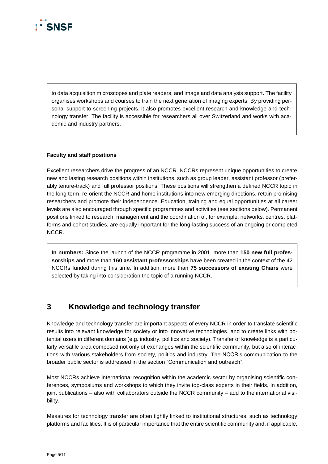

to data acquisition microscopes and plate readers, and image and data analysis support. The facility organises workshops and courses to train the next generation of imaging experts. By providing personal support to screening projects, it also promotes excellent research and knowledge and technology transfer. The facility is accessible for researchers all over Switzerland and works with academic and industry partners.

#### **Faculty and staff positions**

Excellent researchers drive the progress of an NCCR. NCCRs represent unique opportunities to create new and lasting research positions within institutions, such as group leader, assistant professor (preferably tenure-track) and full professor positions. These positions will strengthen a defined NCCR topic in the long term, re-orient the NCCR and home institutions into new emerging directions, retain promising researchers and promote their independence. Education, training and equal opportunities at all career levels are also encouraged through specific programmes and activities (see sections below). Permanent positions linked to research, management and the coordination of, for example, networks, centres, platforms and cohort studies, are equally important for the long-lasting success of an ongoing or completed NCCR.

**In numbers:** Since the launch of the NCCR programme in 2001, more than **150 new full professorships** and more than **160 assistant professorships** have been created in the context of the 42 NCCRs funded during this time. In addition, more than **75 successors of existing Chairs** were selected by taking into consideration the topic of a running NCCR.

#### <span id="page-4-0"></span>**3 Knowledge and technology transfer**

Knowledge and technology transfer are important aspects of every NCCR in order to translate scientific results into relevant knowledge for society or into innovative technologies, and to create links with potential users in different domains (e.g. industry, politics and society). Transfer of knowledge is a particularly versatile area composed not only of exchanges within the scientific community, but also of interactions with various stakeholders from society, politics and industry. The NCCR's communication to the broader public sector is addressed in the section "Communication and outreach".

Most NCCRs achieve international recognition within the academic sector by organising scientific conferences, symposiums and workshops to which they invite top-class experts in their fields. In addition, joint publications – also with collaborators outside the NCCR community – add to the international visibility.

Measures for technology transfer are often tightly linked to institutional structures, such as technology platforms and facilities. It is of particular importance that the entire scientific community and, if applicable,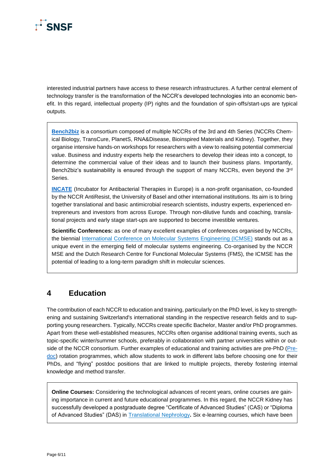

interested industrial partners have access to these research infrastructures. A further central element of technology transfer is the transformation of the NCCR's developed technologies into an economic benefit. In this regard, intellectual property (IP) rights and the foundation of spin-offs/start-ups are typical outputs.

**[Bench2biz](https://bench2biz.ch/)** is a consortium composed of multiple NCCRs of the 3rd and 4th Series (NCCRs Chemical Biology, TransCure, PlanetS, RNA&Disease, Bioinspired Materials and Kidney). Together, they organise intensive hands-on workshops for researchers with a view to realising potential commercial value. Business and industry experts help the researchers to develop their ideas into a concept, to determine the commercial value of their ideas and to launch their business plans. Importantly, Bench2biz's sustainability is ensured through the support of many NCCRs, even beyond the 3<sup>rd</sup> Series.

**[INCATE](https://www.incate.net/)** (Incubator for Antibacterial Therapies in Europe) is a non-profit organisation, co-founded by the NCCR AntiResist, the University of Basel and other international institutions. Its aim is to bring together translational and basic antimicrobial research scientists, industry experts, experienced entrepreneurs and investors from across Europe. Through non-dilutive funds and coaching, translational projects and early stage start-ups are supported to become investible ventures.

**Scientific Conferences:** as one of many excellent examples of conferences organised by NCCRs, the biennial [International Conference on Molecular Systems Engineering \(ICMSE\)](https://www.nccr-mse.ch/en/events/icmse-2017/) stands out as a unique event in the emerging field of molecular systems engineering. Co-organised by the NCCR MSE and the Dutch Research Centre for Functional Molecular Systems (FMS), the ICMSE has the potential of leading to a long-term paradigm shift in molecular sciences.

#### <span id="page-5-0"></span>**4 Education**

The contribution of each NCCR to education and training, particularly on the PhD level, is key to strengthening and sustaining Switzerland's international standing in the respective research fields and to supporting young researchers. Typically, NCCRs create specific Bachelor, Master and/or PhD programmes. Apart from these well-established measures, NCCRs often organise additional training events, such as topic-specific winter/summer schools, preferably in collaboration with partner universities within or outside of the NCCR consortium. Further examples of educational and training activities are pre-PhD [\(Pre](https://nccr-rna-and-disease.ch/education/predoc)[doc\)](https://nccr-rna-and-disease.ch/education/predoc) rotation programmes, which allow students to work in different labs before choosing one for their PhDs, and "flying" postdoc positions that are linked to multiple projects, thereby fostering internal knowledge and method transfer.

**Online Courses:** Considering the technological advances of recent years, online courses are gaining importance in current and future educational programmes. In this regard, the NCCR Kidney has successfully developed a postgraduate degree "Certificate of Advanced Studies" (CAS) or "Diploma of Advanced Studies" (DAS) in [Translational Nephrology](https://www.nccr-kidney.ch/education.574en.html)**.** Six e-learning courses, which have been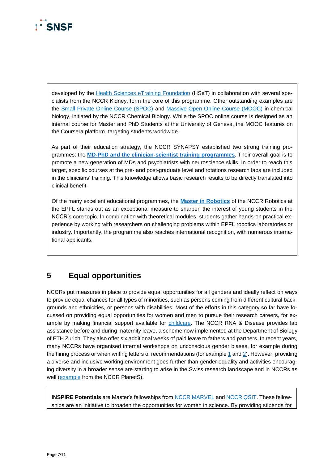

developed by the [Health Sciences eTraining Foundation](https://hset.org/) (HSeT) in collaboration with several specialists from the NCCR Kidney, form the core of this programme. Other outstanding examples are the [Small Private Online Course \(SPOC\)](https://nccr-chembio.ch/news/online-course-chemical-biology/) and [Massive Open Online Course \(MOOC\)](https://nccr-chembio.ch/education-training/mooc-chemical-biology/) in chemical biology, initiated by the NCCR Chemical Biology. While the SPOC online course is designed as an internal course for Master and PhD Students at the University of Geneva, the MOOC features on the Coursera platform, targeting students worldwide.

As part of their education strategy, the NCCR SYNAPSY established two strong training programmes: the **[MD-PhD and the clinician-scientist training programmes](https://nccr-synapsy.ch/programs/)**. Their overall goal is to promote a new generation of MDs and psychiatrists with neuroscience skills. In order to reach this target, specific courses at the pre- and post-graduate level and rotations research labs are included in the clinicians' training. This knowledge allows basic research results to be directly translated into clinical benefit.

Of the many excellent educational programmes, the **[Master in Robotics](https://www.epfl.ch/education/master/programs/robotics/#faq-841042)** of the NCCR Robotics at the EPFL stands out as an exceptional measure to sharpen the interest of young students in the NCCR's core topic. In combination with theoretical modules, students gather hands-on practical experience by working with researchers on challenging problems within EPFL robotics laboratories or industry. Importantly, the programme also reaches international recognition, with numerous international applicants.

### <span id="page-6-0"></span>**5 Equal opportunities**

NCCRs put measures in place to provide equal opportunities for all genders and ideally reflect on ways to provide equal chances for all types of minorities, such as persons coming from different cultural backgrounds and ethnicities, or persons with disabilities. Most of the efforts in this category so far have focussed on providing equal opportunities for women and men to pursue their research careers, for example by making financial support available for [childcare.](https://www.nccr-kidney.ch/family_work.579en.html) The NCCR RNA & Disease provides lab assistance before and during maternity leave, a scheme now implemented at the Department of Biology of ETH Zurich. They also offer six additional weeks of paid leave to fathers and partners. In recent years, many NCCRs have organised internal workshops on unconscious gender biases, for example during the hiring process or when writing letters of recommendations (for example [1](https://www.nccr-transcure.ch/gender-equality/raising-awareness) and [2\)](http://nccr-planets.ch/tips-promoting-equal-opportunity-hiring-teaching-mentoring/). However, providing a diverse and inclusive working environment goes further than gender equality and activities encouraging diversity in a broader sense are starting to arise in the Swiss research landscape and in NCCRs as well [\(example](http://nccr-planets.ch/diversity-equity-inclusion/) from the NCCR PlanetS).

**INSPIRE Potentials** are Master's fellowships from [NCCR MARVEL](https://nccr-marvel.ch/outreach/equal-opportunities/inspire-description) and [NCCR QSIT.](https://nccr-qsit.ethz.ch/equal-opportunity/inspire-potentials---qsit-master-internship-award.html) These fellowships are an initiative to broaden the opportunities for women in science. By providing stipends for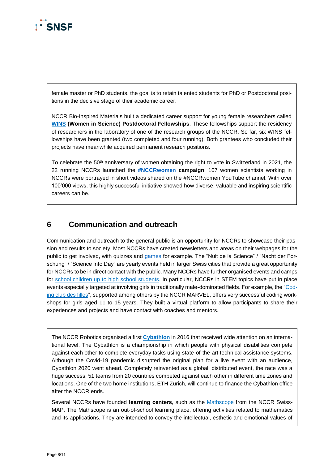

female master or PhD students, the goal is to retain talented students for PhD or Postdoctoral positions in the decisive stage of their academic career.

NCCR Bio-Inspired Materials built a dedicated career support for young female researchers called **[WINS](https://www.bioinspired-materials.ch/en/education/postdoctoral-training/fellowship-for-women-in-science.html) (Women in Science) Postdoctoral Fellowships**. These fellowships support the residency of researchers in the laboratory of one of the research groups of the NCCR. So far, six WINS fellowships have been granted (two completed and four running). Both grantees who concluded their projects have meanwhile acquired permanent research positions.

To celebrate the 50<sup>th</sup> anniversary of women obtaining the right to vote in Switzerland in 2021, the 22 running NCCRs launched the **[#NCCRwomen](https://www.youtube.com/channel/UCOSn0rhflLmS5pwkC3wS34w/videos?view=0&sort=dd&flow=grid) campaign**. 107 women scientists working in NCCRs were portrayed in short videos shared on the #NCCRwomen YouTube channel. With over 100'000 views, this highly successful initiative showed how diverse, valuable and inspiring scientific careers can be.

#### <span id="page-7-0"></span>**6 Communication and outreach**

Communication and outreach to the general public is an opportunity for NCCRs to showcase their passion and results to society. Most NCCRs have created newsletters and areas on their webpages for the public to get involved, with quizzes and [games](https://molecool.ch/en/rna-you/detailansicht/rna-eater) for example. The "Nuit de la Science" / "Nacht der Forschung" / "Science Info Day" are yearly events held in larger Swiss cities that provide a great opportunity for NCCRs to be in direct contact with the public. Many NCCRs have further organised events and camps for [school children up to high school students.](http://nccr-planets.ch/fr/media-communication/schools/) In particular, NCCRs in STEM topics have put in place events especially targeted at involving girls in traditionally male-dominated fields. For example, the ["Cod](https://www.epfl.ch/education/education-and-science-outreach/fr/promotion-des-sciences/coding-club-des-filles/)[ing club des filles"](https://www.epfl.ch/education/education-and-science-outreach/fr/promotion-des-sciences/coding-club-des-filles/), supported among others by the NCCR MARVEL, offers very successful coding workshops for girls aged 11 to 15 years. They built a virtual platform to allow participants to share their experiences and projects and have contact with coaches and mentors.

The NCCR Robotics organised a first **[Cybathlon](https://cybathlon.ethz.ch/en)** in 2016 that received wide attention on an international level. The Cybathlon is a championship in which people with physical disabilities compete against each other to complete everyday tasks using state-of-the-art technical assistance systems. Although the Covid-19 pandemic disrupted the original plan for a live event with an audience, Cybathlon 2020 went ahead. Completely reinvented as a global, distributed event, the race was a huge success. 51 teams from 20 countries competed against each other in different time zones and locations. One of the two home institutions, ETH Zurich, will continue to finance the Cybathlon office after the NCCR ends.

Several NCCRs have founded **learning centers,** such as the [Mathscope](https://scienscope.unige.ch/mathscope/) from the NCCR Swiss-MAP. The Mathscope is an out-of-school learning place, offering activities related to mathematics and its applications. They are intended to convey the intellectual, esthetic and emotional values of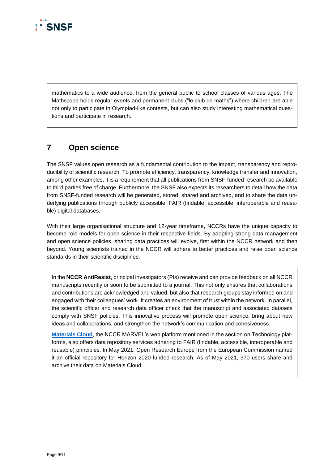

mathematics to a wide audience, from the general public to school classes of various ages. The Mathscope holds regular events and permanent clubs ("le club de maths") where children are able not only to participate in Olympiad-like contests, but can also study interesting mathematical questions and participate in research.

### <span id="page-8-0"></span>**7 Open science**

The SNSF values open research as a fundamental contribution to the impact, transparency and reproducibility of scientific research. To promote efficiency, transparency, knowledge transfer and innovation, among other examples, it is a requirement that all publications from SNSF-funded research be available to third parties free of charge. Furthermore, the SNSF also expects its researchers to detail how the data from SNSF-funded research will be generated, stored, shared and archived, and to share the data underlying publications through publicly accessible, FAIR (findable, accessible, interoperable and reusable) digital databases.

With their large organisational structure and 12-year timeframe, NCCRs have the unique capacity to become role models for open science in their respective fields. By adopting strong data management and open science policies, sharing data practices will evolve, first within the NCCR network and then beyond. Young scientists trained in the NCCR will adhere to better practices and raise open science standards in their scientific disciplines.

In the **NCCR AntiResist**, principal investigators (PIs) receive and can provide feedback on all NCCR manuscripts recently or soon to be submitted to a journal. This not only ensures that collaborations and contributions are acknowledged and valued, but also that research groups stay informed on and engaged with their colleagues' work. It creates an environment of trust within the network. In parallel, the scientific officer and research data officer check that the manuscript and associated datasets comply with SNSF policies. This innovative process will promote open science, bring about new ideas and collaborations, and strengthen the network's communication and cohesiveness.

**[Materials Cloud](https://www.materialscloud.org/)**, the NCCR MARVEL's web platform mentioned in the section on Technology platforms, also offers data repository services adhering to FAIR (findable, accessible, interoperable and reusable) principles. In May 2021, Open Research Europe from the European Commission named it an official repository for Horizon 2020-funded research. As of May 2021, 370 users share and archive their data on Materials Cloud.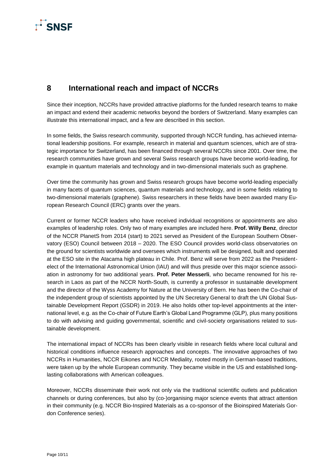## $\overline{\Gamma}$ SNSF

### <span id="page-9-0"></span>**8 International reach and impact of NCCRs**

Since their inception, NCCRs have provided attractive platforms for the funded research teams to make an impact and extend their academic networks beyond the borders of Switzerland. Many examples can illustrate this international impact, and a few are described in this section.

In some fields, the Swiss research community, supported through NCCR funding, has achieved international leadership positions. For example, research in material and quantum sciences, which are of strategic importance for Switzerland, has been financed through several NCCRs since 2001. Over time, the research communities have grown and several Swiss research groups have become world-leading, for example in quantum materials and technology and in two-dimensional materials such as graphene.

Over time the community has grown and Swiss research groups have become world-leading especially in many facets of quantum sciences, quantum materials and technology, and in some fields relating to two-dimensional materials (graphene). Swiss researchers in these fields have been awarded many European Research Council (ERC) grants over the years.

Current or former NCCR leaders who have received individual recognitions or appointments are also examples of leadership roles. Only two of many examples are included here. **Prof. Willy Benz**, director of the NCCR PlanetS from 2014 (start) to 2021 served as President of the European Southern Observatory (ESO) Council between 2018 – 2020. The ESO Council provides world-class observatories on the ground for scientists worldwide and oversees which instruments will be designed, built and operated at the ESO site in the Atacama high plateau in Chile. Prof. Benz will serve from 2022 as the Presidentelect of the International Astronomical Union (IAU) and will thus preside over this major science association in astronomy for two additional years. **Prof. Peter Messerli**, who became renowned for his research in Laos as part of the NCCR North-South, is currently a professor in sustainable development and the director of the Wyss Academy for Nature at the University of Bern. He has been the Co-chair of the independent group of scientists appointed by the UN Secretary General to draft the UN Global Sustainable Development Report (GSDR) in 2019. He also holds other top-level appointments at the international level, e.g. as the Co-chair of Future Earth's Global Land Programme (GLP), plus many positions to do with advising and guiding governmental, scientific and civil-society organisations related to sustainable development.

The international impact of NCCRs has been clearly visible in research fields where local cultural and historical conditions influence research approaches and concepts. The innovative approaches of two NCCRs in Humanities, NCCR Eikones and NCCR Mediality, rooted mostly in German-based traditions, were taken up by the whole European community. They became visible in the US and established longlasting collaborations with American colleagues.

Moreover, NCCRs disseminate their work not only via the traditional scientific outlets and publication channels or during conferences, but also by (co-)organising major science events that attract attention in their community (e.g. NCCR Bio-Inspired Materials as a co-sponsor of the Bioinspired Materials Gordon Conference series).